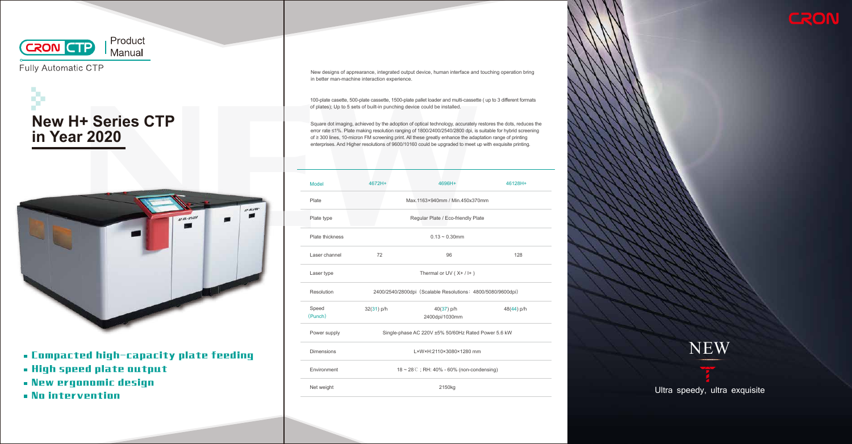

Fully Automatic CTP





New designs of apprearance, integrated output device, human interface and touching operation bring in better man-machine interaction experience.

Square dot imaging, achieved by the adoption of optical technology, accurately restores the dots, reduces the error rate ≤1%. Plate making resolution ranging of 1800/2400/2540/2800 dpi, is suitable for hybrid screening of ≥ 300 lines, 10-micron FM screening print. All these greatly enhance the adaptation range of printing enterprises. And Higher resolutions of 9600/10160 could be upgraded to meet up with exquisite printing.

100-plate casette, 500-plate cassette, 1500-plate pallet loader and multi-cassette ( up to 3 different formats of plates); Up to 5 sets of built-in punching device could be installed.



Ultra speedy, ultra exquisite

| Model             | 4672H+                                                      | 4696H+                       | 46128H+    |
|-------------------|-------------------------------------------------------------|------------------------------|------------|
| Plate             | Max.1163×940mm / Min.450x370mm                              |                              |            |
| Plate type        | Regular Plate / Eco-friendly Plate                          |                              |            |
| Plate thickness   | $0.13 \sim 0.30$ mm                                         |                              |            |
| Laser channel     | 72                                                          | 96                           | 128        |
| Laser type        | Thermal or UV $(X+ / I+ )$                                  |                              |            |
| <b>Resolution</b> | 2400/2540/2800dpi (Scalable Resolutions: 4800/5080/9600dpi) |                              |            |
| Speed<br>(Punch)  | $32(31)$ p/h                                                | 40(37) p/h<br>2400dpi/1030mm | 48(44) p/h |
| Power supply      | Single-phase AC 220V ±5% 50/60Hz Rated Power 5.6 kW         |                              |            |
| <b>Dimensions</b> | L×W×H:2110×3080×1280 mm                                     |                              |            |
| Environment       | $18 \sim 28$ C; RH: 40% - 60% (non-condensing)              |                              |            |
| Net weight        | 2150kg                                                      |                              |            |



- Compacted high-capacity plate feeding
- High speed plate output
- New ergonomic design
- No intervention